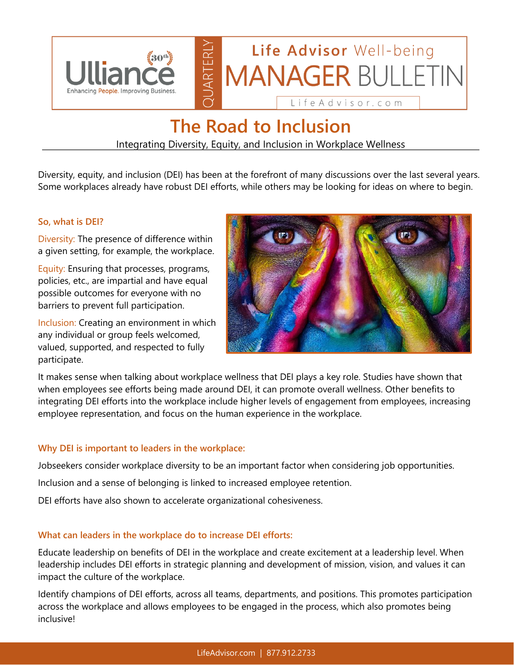

## **The Road to Inclusion**

Integrating Diversity, Equity, and Inclusion in Workplace Wellness

Diversity, equity, and inclusion (DEI) has been at the forefront of many discussions over the last several years. Some workplaces already have robust DEI efforts, while others may be looking for ideas on where to begin.

#### **So, what is DEI?**

Diversity: The presence of difference within a given setting, for example, the workplace.

Equity: Ensuring that processes, programs, policies, etc., are impartial and have equal possible outcomes for everyone with no barriers to prevent full participation.

Inclusion: Creating an environment in which any individual or group feels welcomed, valued, supported, and respected to fully participate.



It makes sense when talking about workplace wellness that DEI plays a key role. Studies have shown that when employees see efforts being made around DEI, it can promote overall wellness. Other benefits to integrating DEI efforts into the workplace include higher levels of engagement from employees, increasing employee representation, and focus on the human experience in the workplace.

#### **Why DEI is important to leaders in the workplace:**

Jobseekers consider workplace diversity to be an important factor when considering job opportunities.

Inclusion and a sense of belonging is linked to increased employee retention.

DEI efforts have also shown to accelerate organizational cohesiveness.

#### **What can leaders in the workplace do to increase DEI efforts:**

Educate leadership on benefits of DEI in the workplace and create excitement at a leadership level. When leadership includes DEI efforts in strategic planning and development of mission, vision, and values it can impact the culture of the workplace.

Identify champions of DEI efforts, across all teams, departments, and positions. This promotes participation across the workplace and allows employees to be engaged in the process, which also promotes being inclusive!